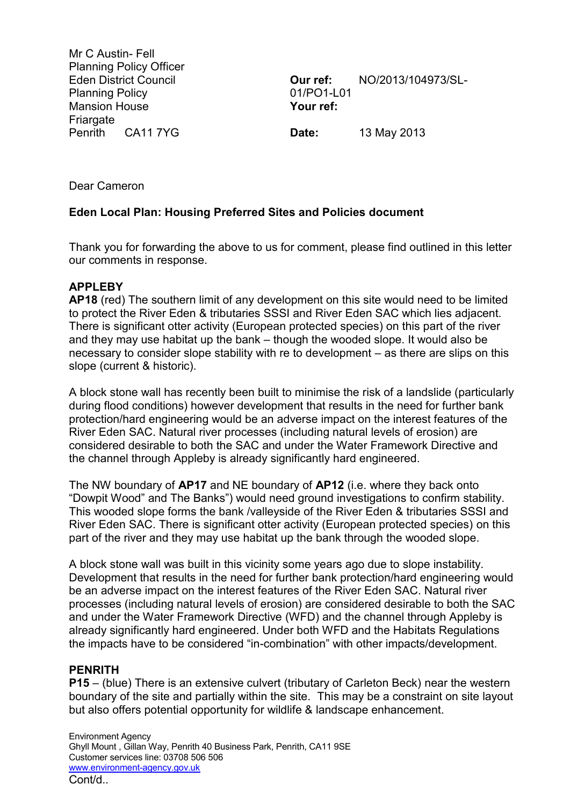Mr C Austin- Fell Planning Policy Officer Eden District Council Planning Policy Mansion House **Friargate** Penrith CA11 7YG

**Our ref:** NO/2013/104973/SL-01/PO1-L01 **Your ref:**

**Date:** 13 May 2013

Dear Cameron

### **Eden Local Plan: Housing Preferred Sites and Policies document**

Thank you for forwarding the above to us for comment, please find outlined in this letter our comments in response.

### **APPLEBY**

**AP18** (red) The southern limit of any development on this site would need to be limited to protect the River Eden & tributaries SSSI and River Eden SAC which lies adjacent. There is significant otter activity (European protected species) on this part of the river and they may use habitat up the bank – though the wooded slope. It would also be necessary to consider slope stability with re to development – as there are slips on this slope (current & historic).

A block stone wall has recently been built to minimise the risk of a landslide (particularly during flood conditions) however development that results in the need for further bank protection/hard engineering would be an adverse impact on the interest features of the River Eden SAC. Natural river processes (including natural levels of erosion) are considered desirable to both the SAC and under the Water Framework Directive and the channel through Appleby is already significantly hard engineered.

The NW boundary of **AP17** and NE boundary of **AP12** (i.e. where they back onto "Dowpit Wood" and The Banks") would need ground investigations to confirm stability. This wooded slope forms the bank /valleyside of the River Eden & tributaries SSSI and River Eden SAC. There is significant otter activity (European protected species) on this part of the river and they may use habitat up the bank through the wooded slope.

A block stone wall was built in this vicinity some years ago due to slope instability. Development that results in the need for further bank protection/hard engineering would be an adverse impact on the interest features of the River Eden SAC. Natural river processes (including natural levels of erosion) are considered desirable to both the SAC and under the Water Framework Directive (WFD) and the channel through Appleby is already significantly hard engineered. Under both WFD and the Habitats Regulations the impacts have to be considered "in-combination" with other impacts/development.

### **PENRITH**

**P15** – (blue) There is an extensive culvert (tributary of Carleton Beck) near the western boundary of the site and partially within the site. This may be a constraint on site layout but also offers potential opportunity for wildlife & landscape enhancement.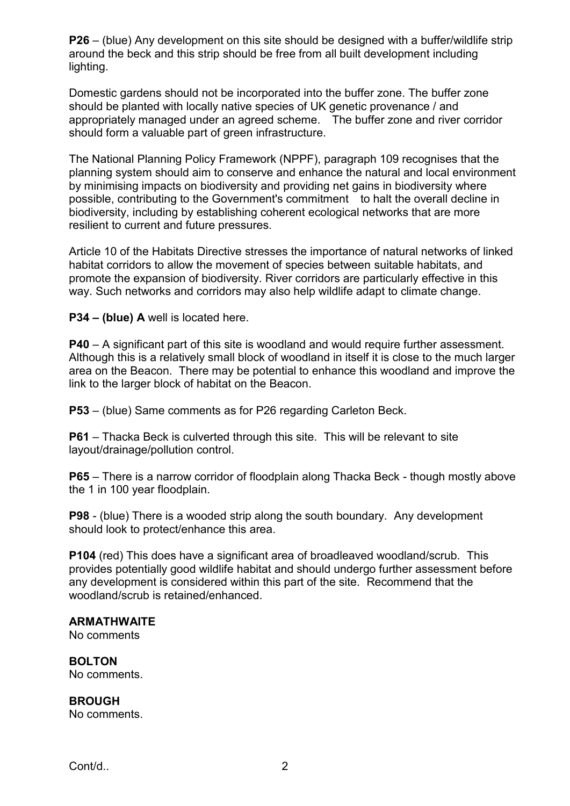**P26** – (blue) Any development on this site should be designed with a buffer/wildlife strip around the beck and this strip should be free from all built development including lighting.

Domestic gardens should not be incorporated into the buffer zone. The buffer zone should be planted with locally native species of UK genetic provenance / and appropriately managed under an agreed scheme. The buffer zone and river corridor should form a valuable part of green infrastructure.

The National Planning Policy Framework (NPPF), paragraph 109 recognises that the planning system should aim to conserve and enhance the natural and local environment by minimising impacts on biodiversity and providing net gains in biodiversity where possible, contributing to the Government's commitment to halt the overall decline in biodiversity, including by establishing coherent ecological networks that are more resilient to current and future pressures.

Article 10 of the Habitats Directive stresses the importance of natural networks of linked habitat corridors to allow the movement of species between suitable habitats, and promote the expansion of biodiversity. River corridors are particularly effective in this way. Such networks and corridors may also help wildlife adapt to climate change.

**P34 – (blue) A** well is located here.

**P40** – A significant part of this site is woodland and would require further assessment. Although this is a relatively small block of woodland in itself it is close to the much larger area on the Beacon. There may be potential to enhance this woodland and improve the link to the larger block of habitat on the Beacon.

**P53** – (blue) Same comments as for P26 regarding Carleton Beck.

**P61** – Thacka Beck is culverted through this site. This will be relevant to site layout/drainage/pollution control.

**P65** – There is a narrow corridor of floodplain along Thacka Beck - though mostly above the 1 in 100 year floodplain.

**P98** - (blue) There is a wooded strip along the south boundary. Any development should look to protect/enhance this area.

**P104** (red) This does have a significant area of broadleaved woodland/scrub. This provides potentially good wildlife habitat and should undergo further assessment before any development is considered within this part of the site. Recommend that the woodland/scrub is retained/enhanced.

#### **ARMATHWAITE**

No comments

**BOLTON** No comments.

**BROUGH** No comments.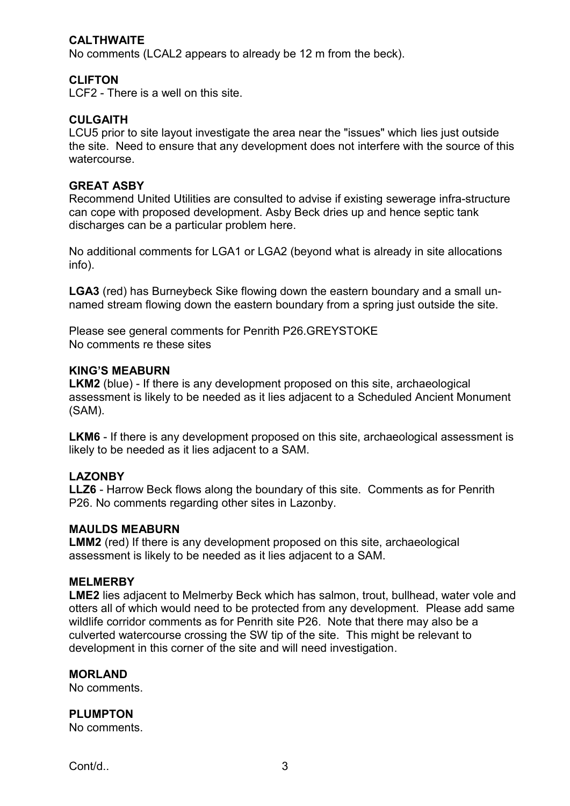### **CALTHWAITE**

No comments (LCAL2 appears to already be 12 m from the beck).

### **CLIFTON**

LCF2 - There is a well on this site.

#### **CULGAITH**

LCU5 prior to site layout investigate the area near the "issues" which lies just outside the site. Need to ensure that any development does not interfere with the source of this watercourse.

#### **GREAT ASBY**

Recommend United Utilities are consulted to advise if existing sewerage infra-structure can cope with proposed development. Asby Beck dries up and hence septic tank discharges can be a particular problem here.

No additional comments for LGA1 or LGA2 (beyond what is already in site allocations info).

**LGA3** (red) has Burneybeck Sike flowing down the eastern boundary and a small unnamed stream flowing down the eastern boundary from a spring just outside the site.

Please see general comments for Penrith P26.GREYSTOKE No comments re these sites

#### **KING'S MEABURN**

**LKM2** (blue) - If there is any development proposed on this site, archaeological assessment is likely to be needed as it lies adjacent to a Scheduled Ancient Monument (SAM).

**LKM6** - If there is any development proposed on this site, archaeological assessment is likely to be needed as it lies adjacent to a SAM.

### **LAZONBY**

**LLZ6** - Harrow Beck flows along the boundary of this site. Comments as for Penrith P26. No comments regarding other sites in Lazonby.

#### **MAULDS MEABURN**

**LMM2** (red) If there is any development proposed on this site, archaeological assessment is likely to be needed as it lies adjacent to a SAM.

#### **MELMERBY**

**LME2** lies adjacent to Melmerby Beck which has salmon, trout, bullhead, water vole and otters all of which would need to be protected from any development. Please add same wildlife corridor comments as for Penrith site P26. Note that there may also be a culverted watercourse crossing the SW tip of the site. This might be relevant to development in this corner of the site and will need investigation.

#### **MORLAND**

No comments.

#### **PLUMPTON**

No comments.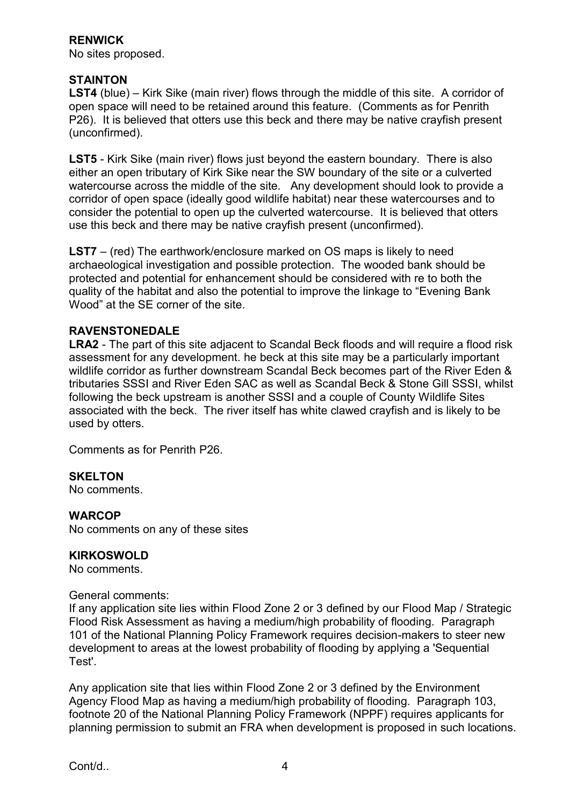### **RENWICK**

No sites proposed.

## **STAINTON**

**LST4** (blue) – Kirk Sike (main river) flows through the middle of this site. A corridor of open space will need to be retained around this feature. (Comments as for Penrith P26). It is believed that otters use this beck and there may be native crayfish present (unconfirmed).

**LST5** - Kirk Sike (main river) flows just beyond the eastern boundary. There is also either an open tributary of Kirk Sike near the SW boundary of the site or a culverted watercourse across the middle of the site. Any development should look to provide a corridor of open space (ideally good wildlife habitat) near these watercourses and to consider the potential to open up the culverted watercourse. It is believed that otters use this beck and there may be native crayfish present (unconfirmed).

**LST7** – (red) The earthwork/enclosure marked on OS maps is likely to need archaeological investigation and possible protection. The wooded bank should be protected and potential for enhancement should be considered with re to both the quality of the habitat and also the potential to improve the linkage to "Evening Bank Wood" at the SE corner of the site.

### **RAVENSTONEDALE**

**LRA2** - The part of this site adjacent to Scandal Beck floods and will require a flood risk assessment for any development. he beck at this site may be a particularly important wildlife corridor as further downstream Scandal Beck becomes part of the River Eden & tributaries SSSI and River Eden SAC as well as Scandal Beck & Stone Gill SSSI, whilst following the beck upstream is another SSSI and a couple of County Wildlife Sites associated with the beck. The river itself has white clawed crayfish and is likely to be used by otters.

Comments as for Penrith P26.

### **SKELTON**

No comments.

#### **WARCOP**

No comments on any of these sites

### **KIRKOSWOLD**

No comments.

#### General comments:

If any application site lies within Flood Zone 2 or 3 defined by our Flood Map / Strategic Flood Risk Assessment as having a medium/high probability of flooding. Paragraph 101 of the National Planning Policy Framework requires decision-makers to steer new development to areas at the lowest probability of flooding by applying a 'Sequential Test'.

Any application site that lies within Flood Zone 2 or 3 defined by the Environment Agency Flood Map as having a medium/high probability of flooding. Paragraph 103, footnote 20 of the National Planning Policy Framework (NPPF) requires applicants for planning permission to submit an FRA when development is proposed in such locations.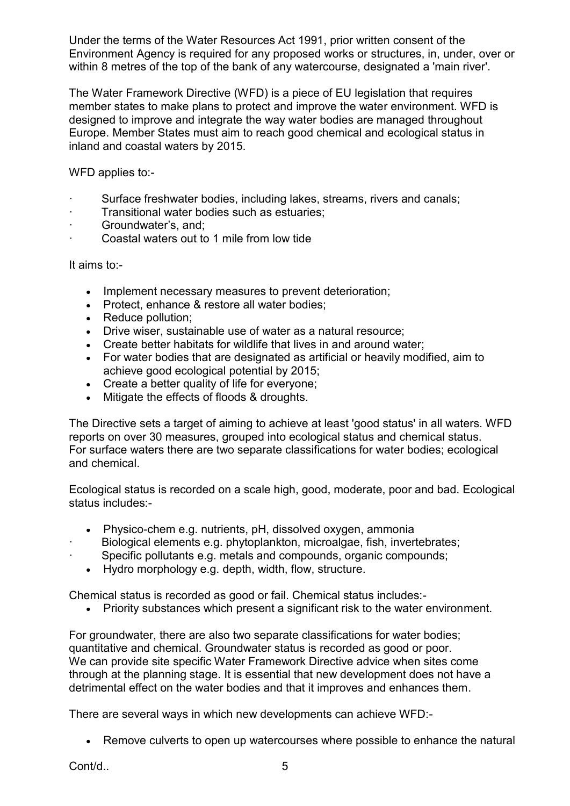Under the terms of the Water Resources Act 1991, prior written consent of the Environment Agency is required for any proposed works or structures, in, under, over or within 8 metres of the top of the bank of any watercourse, designated a 'main river'.

The Water Framework Directive (WFD) is a piece of EU legislation that requires member states to make plans to protect and improve the water environment. WFD is designed to improve and integrate the way water bodies are managed throughout Europe. Member States must aim to reach good chemical and ecological status in inland and coastal waters by 2015.

WFD applies to:-

- Surface freshwater bodies, including lakes, streams, rivers and canals;
- · Transitional water bodies such as estuaries;
- · Groundwater's, and;
- · Coastal waters out to 1 mile from low tide

It aims to:-

- Implement necessary measures to prevent deterioration;
- Protect, enhance & restore all water bodies;
- Reduce pollution;
- Drive wiser, sustainable use of water as a natural resource;
- Create better habitats for wildlife that lives in and around water;
- For water bodies that are designated as artificial or heavily modified, aim to achieve good ecological potential by 2015;
- Create a better quality of life for everyone:
- Mitigate the effects of floods & droughts.

The Directive sets a target of aiming to achieve at least 'good status' in all waters. WFD reports on over 30 measures, grouped into ecological status and chemical status. For surface waters there are two separate classifications for water bodies; ecological and chemical.

Ecological status is recorded on a scale high, good, moderate, poor and bad. Ecological status includes:-

- Physico-chem e.g. nutrients, pH, dissolved oxygen, ammonia
- Biological elements e.g. phytoplankton, microalgae, fish, invertebrates;
- Specific pollutants e.g. metals and compounds, organic compounds;
	- Hydro morphology e.g. depth, width, flow, structure.

Chemical status is recorded as good or fail. Chemical status includes:-

Priority substances which present a significant risk to the water environment.

For groundwater, there are also two separate classifications for water bodies; quantitative and chemical. Groundwater status is recorded as good or poor. We can provide site specific Water Framework Directive advice when sites come through at the planning stage. It is essential that new development does not have a detrimental effect on the water bodies and that it improves and enhances them.

There are several ways in which new developments can achieve WFD:-

Remove culverts to open up watercourses where possible to enhance the natural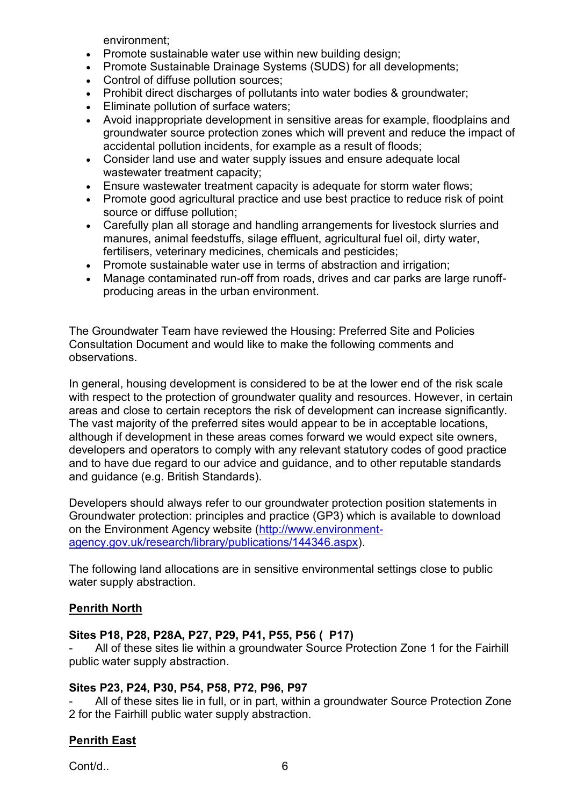environment;

- Promote sustainable water use within new building design;
- Promote Sustainable Drainage Systems (SUDS) for all developments;
- Control of diffuse pollution sources:
- Prohibit direct discharges of pollutants into water bodies & groundwater:
- Eliminate pollution of surface waters;
- Avoid inappropriate development in sensitive areas for example, floodplains and groundwater source protection zones which will prevent and reduce the impact of accidental pollution incidents, for example as a result of floods;
- Consider land use and water supply issues and ensure adequate local wastewater treatment capacity;
- Ensure wastewater treatment capacity is adequate for storm water flows;
- Promote good agricultural practice and use best practice to reduce risk of point source or diffuse pollution;
- Carefully plan all storage and handling arrangements for livestock slurries and manures, animal feedstuffs, silage effluent, agricultural fuel oil, dirty water, fertilisers, veterinary medicines, chemicals and pesticides;
- Promote sustainable water use in terms of abstraction and irrigation;
- Manage contaminated run-off from roads, drives and car parks are large runoffproducing areas in the urban environment.

The Groundwater Team have reviewed the Housing: Preferred Site and Policies Consultation Document and would like to make the following comments and observations.

In general, housing development is considered to be at the lower end of the risk scale with respect to the protection of groundwater quality and resources. However, in certain areas and close to certain receptors the risk of development can increase significantly. The vast majority of the preferred sites would appear to be in acceptable locations, although if development in these areas comes forward we would expect site owners, developers and operators to comply with any relevant statutory codes of good practice and to have due regard to our advice and guidance, and to other reputable standards and guidance (e.g. British Standards).

Developers should always refer to our groundwater protection position statements in Groundwater protection: principles and practice (GP3) which is available to download on the Environment Agency website [\(http://www.environment](http://www.environment-agency.gov.uk/research/library/publications/144346.aspx)[agency.gov.uk/research/library/publications/144346.aspx\)](http://www.environment-agency.gov.uk/research/library/publications/144346.aspx).

The following land allocations are in sensitive environmental settings close to public water supply abstraction.

# **Penrith North**

## **Sites P18, P28, P28A, P27, P29, P41, P55, P56 ( P17)**

All of these sites lie within a groundwater Source Protection Zone 1 for the Fairhill public water supply abstraction.

## **Sites P23, P24, P30, P54, P58, P72, P96, P97**

All of these sites lie in full, or in part, within a groundwater Source Protection Zone 2 for the Fairhill public water supply abstraction.

# **Penrith East**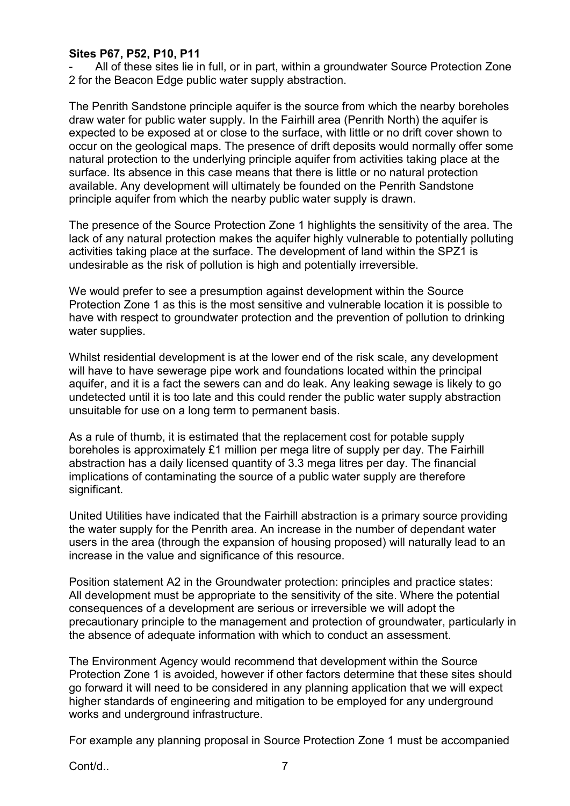### **Sites P67, P52, P10, P11**

- All of these sites lie in full, or in part, within a groundwater Source Protection Zone 2 for the Beacon Edge public water supply abstraction.

The Penrith Sandstone principle aquifer is the source from which the nearby boreholes draw water for public water supply. In the Fairhill area (Penrith North) the aquifer is expected to be exposed at or close to the surface, with little or no drift cover shown to occur on the geological maps. The presence of drift deposits would normally offer some natural protection to the underlying principle aquifer from activities taking place at the surface. Its absence in this case means that there is little or no natural protection available. Any development will ultimately be founded on the Penrith Sandstone principle aquifer from which the nearby public water supply is drawn.

The presence of the Source Protection Zone 1 highlights the sensitivity of the area. The lack of any natural protection makes the aquifer highly vulnerable to potentially polluting activities taking place at the surface. The development of land within the SPZ1 is undesirable as the risk of pollution is high and potentially irreversible.

We would prefer to see a presumption against development within the Source Protection Zone 1 as this is the most sensitive and vulnerable location it is possible to have with respect to groundwater protection and the prevention of pollution to drinking water supplies.

Whilst residential development is at the lower end of the risk scale, any development will have to have sewerage pipe work and foundations located within the principal aquifer, and it is a fact the sewers can and do leak. Any leaking sewage is likely to go undetected until it is too late and this could render the public water supply abstraction unsuitable for use on a long term to permanent basis.

As a rule of thumb, it is estimated that the replacement cost for potable supply boreholes is approximately £1 million per mega litre of supply per day. The Fairhill abstraction has a daily licensed quantity of 3.3 mega litres per day. The financial implications of contaminating the source of a public water supply are therefore significant.

United Utilities have indicated that the Fairhill abstraction is a primary source providing the water supply for the Penrith area. An increase in the number of dependant water users in the area (through the expansion of housing proposed) will naturally lead to an increase in the value and significance of this resource.

Position statement A2 in the Groundwater protection: principles and practice states: All development must be appropriate to the sensitivity of the site. Where the potential consequences of a development are serious or irreversible we will adopt the precautionary principle to the management and protection of groundwater, particularly in the absence of adequate information with which to conduct an assessment.

The Environment Agency would recommend that development within the Source Protection Zone 1 is avoided, however if other factors determine that these sites should go forward it will need to be considered in any planning application that we will expect higher standards of engineering and mitigation to be employed for any underground works and underground infrastructure.

For example any planning proposal in Source Protection Zone 1 must be accompanied